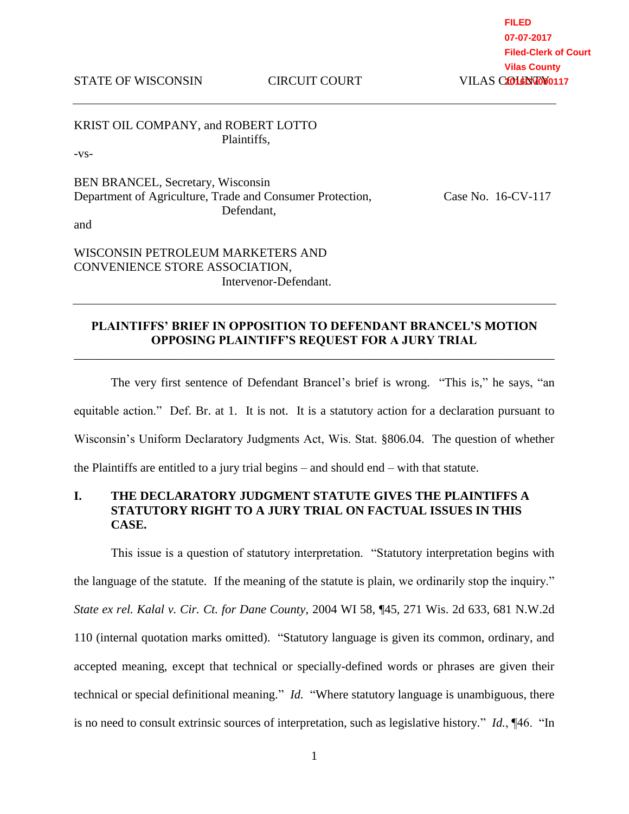STATE OF WISCONSIN CIRCUIT COURT

KRIST OIL COMPANY, and ROBERT LOTTO Plaintiffs,

-vs-

BEN BRANCEL, Secretary, Wisconsin Department of Agriculture, Trade and Consumer Protection, Case No. 16-CV-117 Defendant,

and

WISCONSIN PETROLEUM MARKETERS AND CONVENIENCE STORE ASSOCIATION, Intervenor-Defendant.

#### **PLAINTIFFS' BRIEF IN OPPOSITION TO DEFENDANT BRANCEL'S MOTION OPPOSING PLAINTIFF'S REQUEST FOR A JURY TRIAL** \_\_\_\_\_\_\_\_\_\_\_\_\_\_\_\_\_\_\_\_\_\_\_\_\_\_\_\_\_\_\_\_\_\_\_\_\_\_\_\_\_\_\_\_\_\_\_\_\_\_\_\_\_\_\_\_\_\_\_\_\_\_\_\_\_\_\_\_\_\_\_\_\_\_\_\_\_\_

The very first sentence of Defendant Brancel's brief is wrong. "This is," he says, "an equitable action." Def. Br. at 1. It is not. It is a statutory action for a declaration pursuant to Wisconsin's Uniform Declaratory Judgments Act, Wis. Stat. §806.04. The question of whether the Plaintiffs are entitled to a jury trial begins – and should end – with that statute.

# **I. THE DECLARATORY JUDGMENT STATUTE GIVES THE PLAINTIFFS A STATUTORY RIGHT TO A JURY TRIAL ON FACTUAL ISSUES IN THIS CASE.**

This issue is a question of statutory interpretation. "Statutory interpretation begins with the language of the statute. If the meaning of the statute is plain, we ordinarily stop the inquiry." *State ex rel. Kalal v. Cir. Ct. for Dane County*, 2004 WI 58, ¶45, 271 Wis. 2d 633, 681 N.W.2d 110 (internal quotation marks omitted). "Statutory language is given its common, ordinary, and accepted meaning, except that technical or specially-defined words or phrases are given their technical or special definitional meaning." *Id.* "Where statutory language is unambiguous, there is no need to consult extrinsic sources of interpretation, such as legislative history." *Id.*, ¶46. "In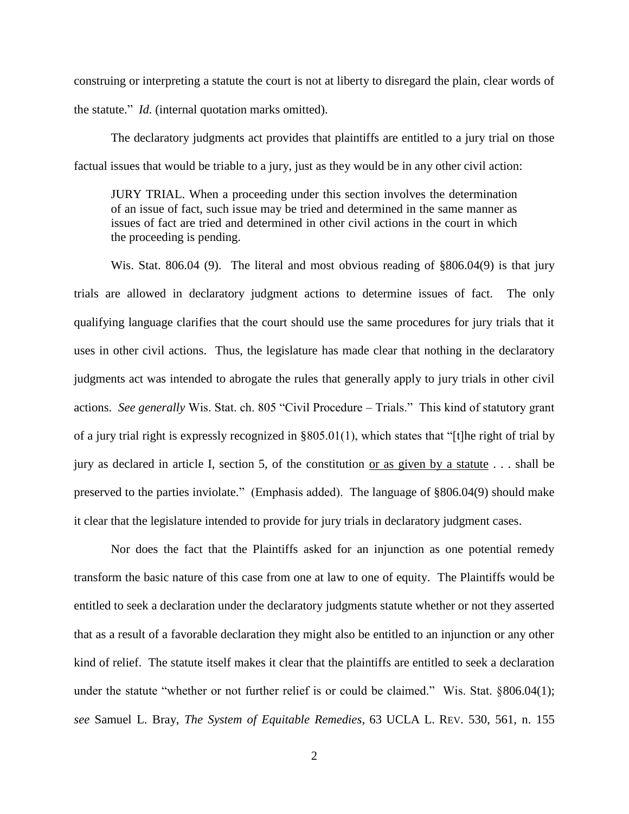construing or interpreting a statute the court is not at liberty to disregard the plain, clear words of the statute." *Id.* (internal quotation marks omitted).

The declaratory judgments act provides that plaintiffs are entitled to a jury trial on those factual issues that would be triable to a jury, just as they would be in any other civil action:

JURY TRIAL. When a proceeding under this section involves the determination of an issue of fact, such issue may be tried and determined in the same manner as issues of fact are tried and determined in other civil actions in the court in which the proceeding is pending.

Wis. Stat. 806.04 (9). The literal and most obvious reading of §806.04(9) is that jury trials are allowed in declaratory judgment actions to determine issues of fact. The only qualifying language clarifies that the court should use the same procedures for jury trials that it uses in other civil actions. Thus, the legislature has made clear that nothing in the declaratory judgments act was intended to abrogate the rules that generally apply to jury trials in other civil actions. *See generally* Wis. Stat. ch. 805 "Civil Procedure – Trials." This kind of statutory grant of a jury trial right is expressly recognized in §805.01(1), which states that "[t]he right of trial by jury as declared in article I, section 5, of the constitution or as given by a statute . . . shall be preserved to the parties inviolate." (Emphasis added). The language of §806.04(9) should make it clear that the legislature intended to provide for jury trials in declaratory judgment cases.

Nor does the fact that the Plaintiffs asked for an injunction as one potential remedy transform the basic nature of this case from one at law to one of equity. The Plaintiffs would be entitled to seek a declaration under the declaratory judgments statute whether or not they asserted that as a result of a favorable declaration they might also be entitled to an injunction or any other kind of relief. The statute itself makes it clear that the plaintiffs are entitled to seek a declaration under the statute "whether or not further relief is or could be claimed." Wis. Stat. §806.04(1); *see* Samuel L. Bray, *The System of Equitable Remedies*, 63 UCLA L. REV. 530, 561, n. 155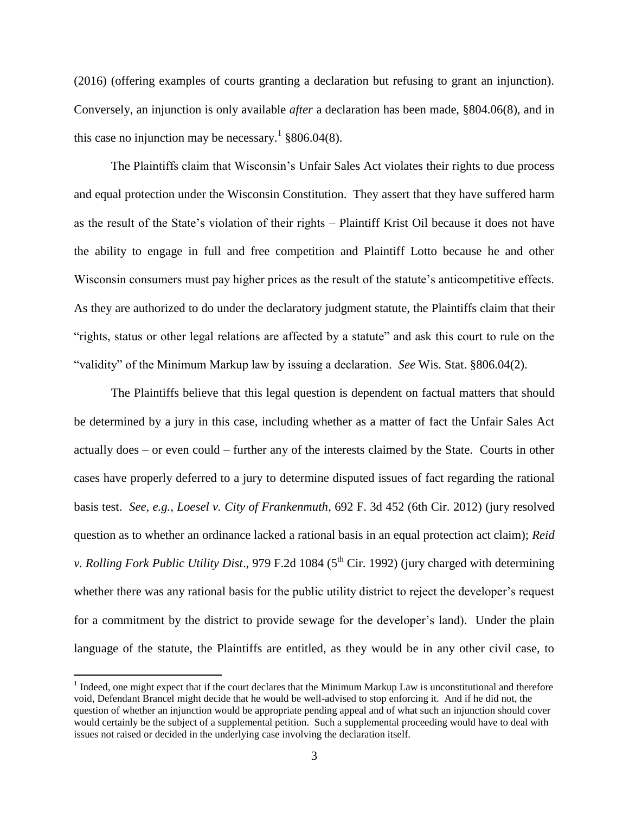(2016) (offering examples of courts granting a declaration but refusing to grant an injunction). Conversely, an injunction is only available *after* a declaration has been made, §804.06(8), and in this case no injunction may be necessary.<sup>1</sup>  $§806.04(8)$ .

The Plaintiffs claim that Wisconsin's Unfair Sales Act violates their rights to due process and equal protection under the Wisconsin Constitution. They assert that they have suffered harm as the result of the State's violation of their rights – Plaintiff Krist Oil because it does not have the ability to engage in full and free competition and Plaintiff Lotto because he and other Wisconsin consumers must pay higher prices as the result of the statute's anticompetitive effects. As they are authorized to do under the declaratory judgment statute, the Plaintiffs claim that their "rights, status or other legal relations are affected by a statute" and ask this court to rule on the "validity" of the Minimum Markup law by issuing a declaration. *See* Wis. Stat. §806.04(2).

The Plaintiffs believe that this legal question is dependent on factual matters that should be determined by a jury in this case, including whether as a matter of fact the Unfair Sales Act actually does – or even could – further any of the interests claimed by the State. Courts in other cases have properly deferred to a jury to determine disputed issues of fact regarding the rational basis test. *See, e.g., Loesel v. City of Frankenmuth*, 692 F. 3d 452 (6th Cir. 2012) (jury resolved question as to whether an ordinance lacked a rational basis in an equal protection act claim); *Reid v. Rolling Fork Public Utility Dist.*, 979 F.2d 1084 (5<sup>th</sup> Cir. 1992) (jury charged with determining whether there was any rational basis for the public utility district to reject the developer's request for a commitment by the district to provide sewage for the developer's land). Under the plain language of the statute, the Plaintiffs are entitled, as they would be in any other civil case, to

 $\overline{a}$ 

 $<sup>1</sup>$  Indeed, one might expect that if the court declares that the Minimum Markup Law is unconstitutional and therefore</sup> void, Defendant Brancel might decide that he would be well-advised to stop enforcing it. And if he did not, the question of whether an injunction would be appropriate pending appeal and of what such an injunction should cover would certainly be the subject of a supplemental petition. Such a supplemental proceeding would have to deal with issues not raised or decided in the underlying case involving the declaration itself.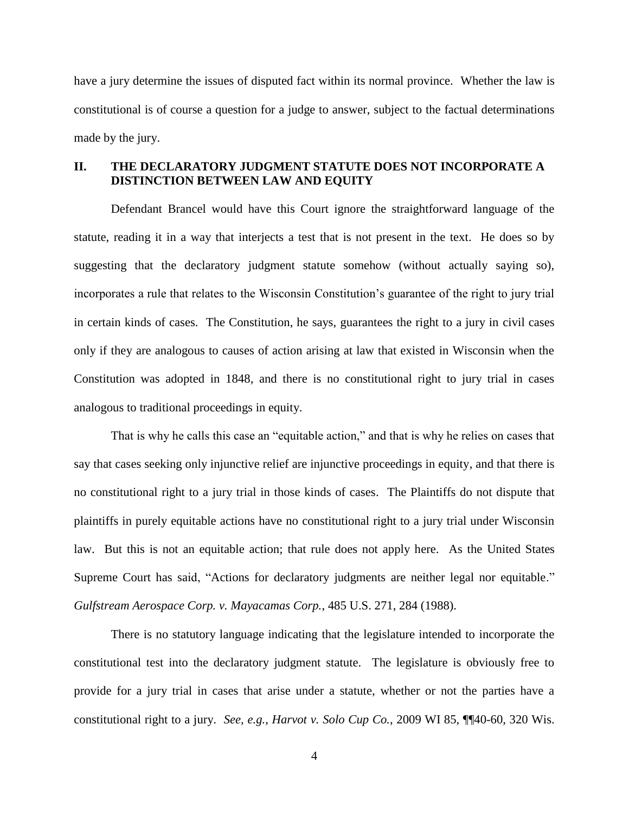have a jury determine the issues of disputed fact within its normal province. Whether the law is constitutional is of course a question for a judge to answer, subject to the factual determinations made by the jury.

## **II. THE DECLARATORY JUDGMENT STATUTE DOES NOT INCORPORATE A DISTINCTION BETWEEN LAW AND EQUITY**

Defendant Brancel would have this Court ignore the straightforward language of the statute, reading it in a way that interjects a test that is not present in the text. He does so by suggesting that the declaratory judgment statute somehow (without actually saying so), incorporates a rule that relates to the Wisconsin Constitution's guarantee of the right to jury trial in certain kinds of cases. The Constitution, he says, guarantees the right to a jury in civil cases only if they are analogous to causes of action arising at law that existed in Wisconsin when the Constitution was adopted in 1848, and there is no constitutional right to jury trial in cases analogous to traditional proceedings in equity.

That is why he calls this case an "equitable action," and that is why he relies on cases that say that cases seeking only injunctive relief are injunctive proceedings in equity, and that there is no constitutional right to a jury trial in those kinds of cases. The Plaintiffs do not dispute that plaintiffs in purely equitable actions have no constitutional right to a jury trial under Wisconsin law. But this is not an equitable action; that rule does not apply here. As the United States Supreme Court has said, "Actions for declaratory judgments are neither legal nor equitable." *Gulfstream Aerospace Corp. v. Mayacamas Corp.*, 485 U.S. 271, 284 (1988).

There is no statutory language indicating that the legislature intended to incorporate the constitutional test into the declaratory judgment statute. The legislature is obviously free to provide for a jury trial in cases that arise under a statute, whether or not the parties have a constitutional right to a jury. *See, e.g.*, *Harvot v. Solo Cup Co.*, 2009 WI 85, ¶¶40-60, 320 Wis.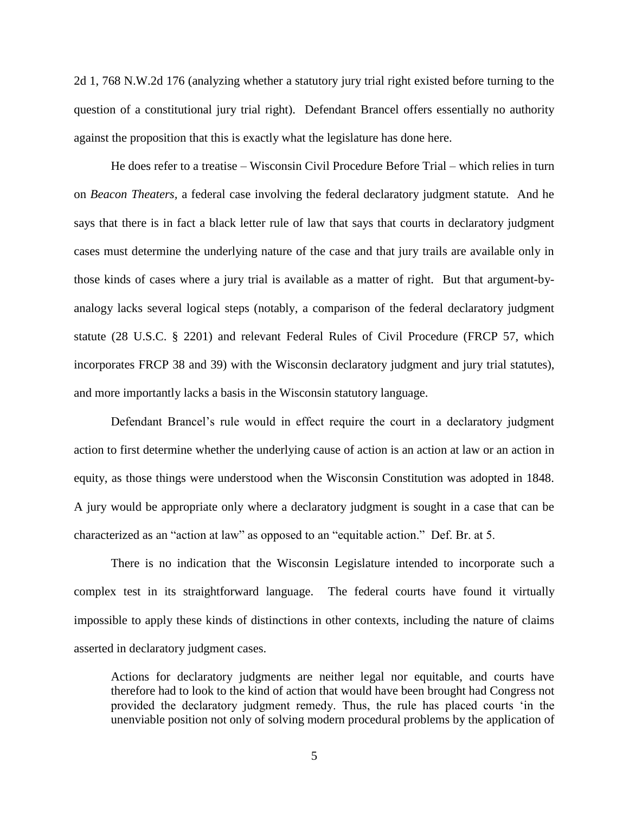2d 1, 768 N.W.2d 176 (analyzing whether a statutory jury trial right existed before turning to the question of a constitutional jury trial right). Defendant Brancel offers essentially no authority against the proposition that this is exactly what the legislature has done here.

He does refer to a treatise – Wisconsin Civil Procedure Before Trial – which relies in turn on *Beacon Theaters,* a federal case involving the federal declaratory judgment statute. And he says that there is in fact a black letter rule of law that says that courts in declaratory judgment cases must determine the underlying nature of the case and that jury trails are available only in those kinds of cases where a jury trial is available as a matter of right. But that argument-byanalogy lacks several logical steps (notably, a comparison of the federal declaratory judgment statute (28 U.S.C. § 2201) and relevant Federal Rules of Civil Procedure (FRCP 57, which incorporates FRCP 38 and 39) with the Wisconsin declaratory judgment and jury trial statutes), and more importantly lacks a basis in the Wisconsin statutory language.

Defendant Brancel's rule would in effect require the court in a declaratory judgment action to first determine whether the underlying cause of action is an action at law or an action in equity, as those things were understood when the Wisconsin Constitution was adopted in 1848. A jury would be appropriate only where a declaratory judgment is sought in a case that can be characterized as an "action at law" as opposed to an "equitable action." Def. Br. at 5.

There is no indication that the Wisconsin Legislature intended to incorporate such a complex test in its straightforward language. The federal courts have found it virtually impossible to apply these kinds of distinctions in other contexts, including the nature of claims asserted in declaratory judgment cases.

Actions for declaratory judgments are neither legal nor equitable, and courts have therefore had to look to the kind of action that would have been brought had Congress not provided the declaratory judgment remedy. Thus, the rule has placed courts 'in the unenviable position not only of solving modern procedural problems by the application of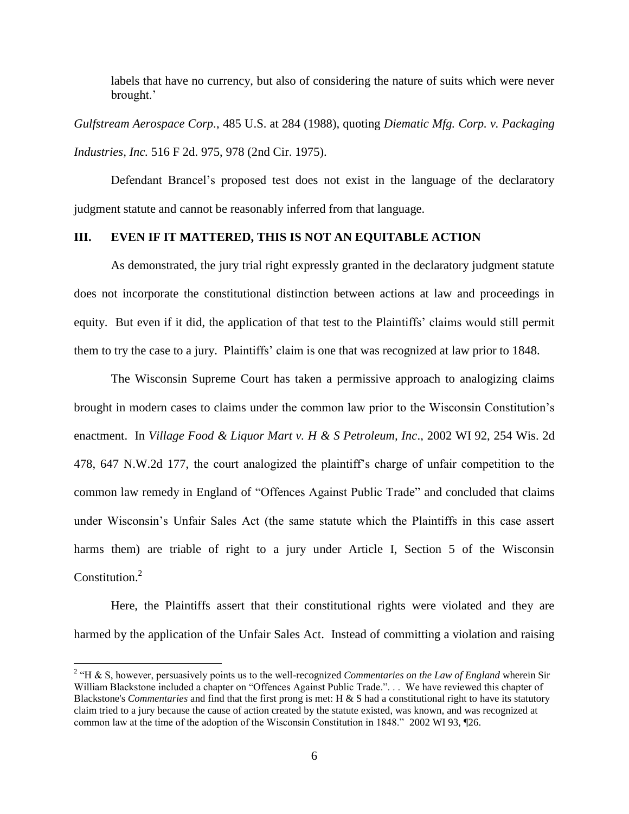labels that have no currency, but also of considering the nature of suits which were never brought.'

*Gulfstream Aerospace Corp.*, 485 U.S. at 284 (1988), quoting *Diematic Mfg. Corp. v. Packaging Industries, Inc.* 516 F 2d. 975, 978 (2nd Cir. 1975).

Defendant Brancel's proposed test does not exist in the language of the declaratory judgment statute and cannot be reasonably inferred from that language.

## **III. EVEN IF IT MATTERED, THIS IS NOT AN EQUITABLE ACTION**

As demonstrated, the jury trial right expressly granted in the declaratory judgment statute does not incorporate the constitutional distinction between actions at law and proceedings in equity. But even if it did, the application of that test to the Plaintiffs' claims would still permit them to try the case to a jury. Plaintiffs' claim is one that was recognized at law prior to 1848.

The Wisconsin Supreme Court has taken a permissive approach to analogizing claims brought in modern cases to claims under the common law prior to the Wisconsin Constitution's enactment. In *Village Food & Liquor Mart v. H & S Petroleum, Inc*., 2002 WI 92, 254 Wis. 2d 478, 647 N.W.2d 177, the court analogized the plaintiff's charge of unfair competition to the common law remedy in England of "Offences Against Public Trade" and concluded that claims under Wisconsin's Unfair Sales Act (the same statute which the Plaintiffs in this case assert harms them) are triable of right to a jury under Article I, Section 5 of the Wisconsin Constitution.<sup>2</sup>

Here, the Plaintiffs assert that their constitutional rights were violated and they are harmed by the application of the Unfair Sales Act. Instead of committing a violation and raising

 $\overline{a}$ 

<sup>&</sup>lt;sup>2</sup> "H & S, however, persuasively points us to the well-recognized *Commentaries on the Law of England* wherein Sir William Blackstone included a chapter on "Offences Against Public Trade."... We have reviewed this chapter of Blackstone's *Commentaries* and find that the first prong is met: H & S had a constitutional right to have its statutory claim tried to a jury because the cause of action created by the statute existed, was known, and was recognized at common law at the time of the adoption of the Wisconsin Constitution in 1848." 2002 WI 93, ¶26.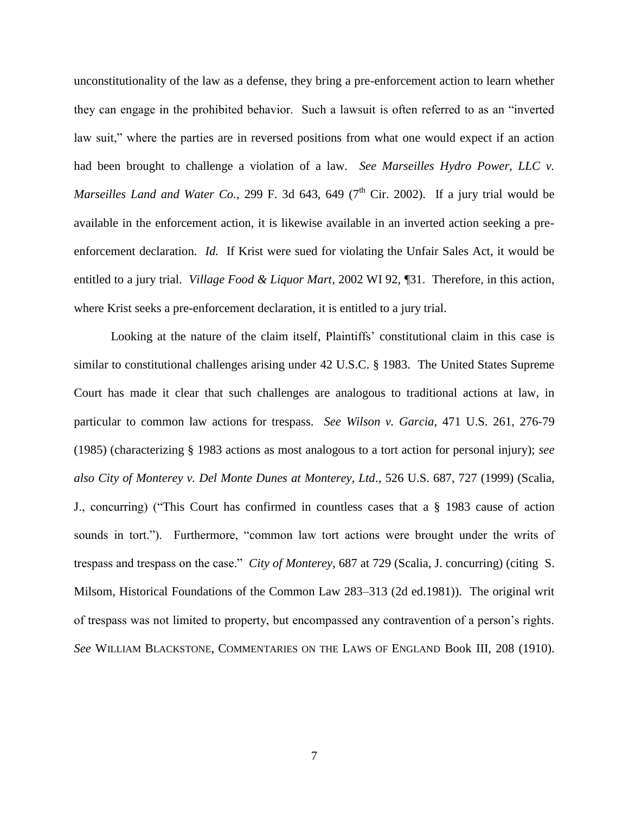unconstitutionality of the law as a defense, they bring a pre-enforcement action to learn whether they can engage in the prohibited behavior. Such a lawsuit is often referred to as an "inverted law suit," where the parties are in reversed positions from what one would expect if an action had been brought to challenge a violation of a law. *See Marseilles Hydro Power, LLC v. Marseilles Land and Water Co.*, 299 F. 3d 643, 649 ( $7<sup>th</sup>$  Cir. 2002). If a jury trial would be available in the enforcement action, it is likewise available in an inverted action seeking a preenforcement declaration. *Id.* If Krist were sued for violating the Unfair Sales Act, it would be entitled to a jury trial. *Village Food & Liquor Mart*, 2002 WI 92, ¶31. Therefore, in this action, where Krist seeks a pre-enforcement declaration, it is entitled to a jury trial.

Looking at the nature of the claim itself, Plaintiffs' constitutional claim in this case is similar to constitutional challenges arising under 42 U.S.C. § 1983. The United States Supreme Court has made it clear that such challenges are analogous to traditional actions at law, in particular to common law actions for trespass. *See Wilson v. Garcia*, 471 U.S. 261, 276-79 (1985) (characterizing § 1983 actions as most analogous to a tort action for personal injury); *see also City of Monterey v. Del Monte Dunes at Monterey, Ltd*., 526 U.S. 687, 727 (1999) (Scalia, J., concurring) ("This Court has confirmed in countless cases that a § 1983 cause of action sounds in tort."). Furthermore, "common law tort actions were brought under the writs of trespass and trespass on the case." *City of Monterey*, 687 at 729 (Scalia, J. concurring) (citing S. Milsom, Historical Foundations of the Common Law 283–313 (2d ed.1981)). The original writ of trespass was not limited to property, but encompassed any contravention of a person's rights. *See* WILLIAM BLACKSTONE, COMMENTARIES ON THE LAWS OF ENGLAND Book III, 208 (1910).